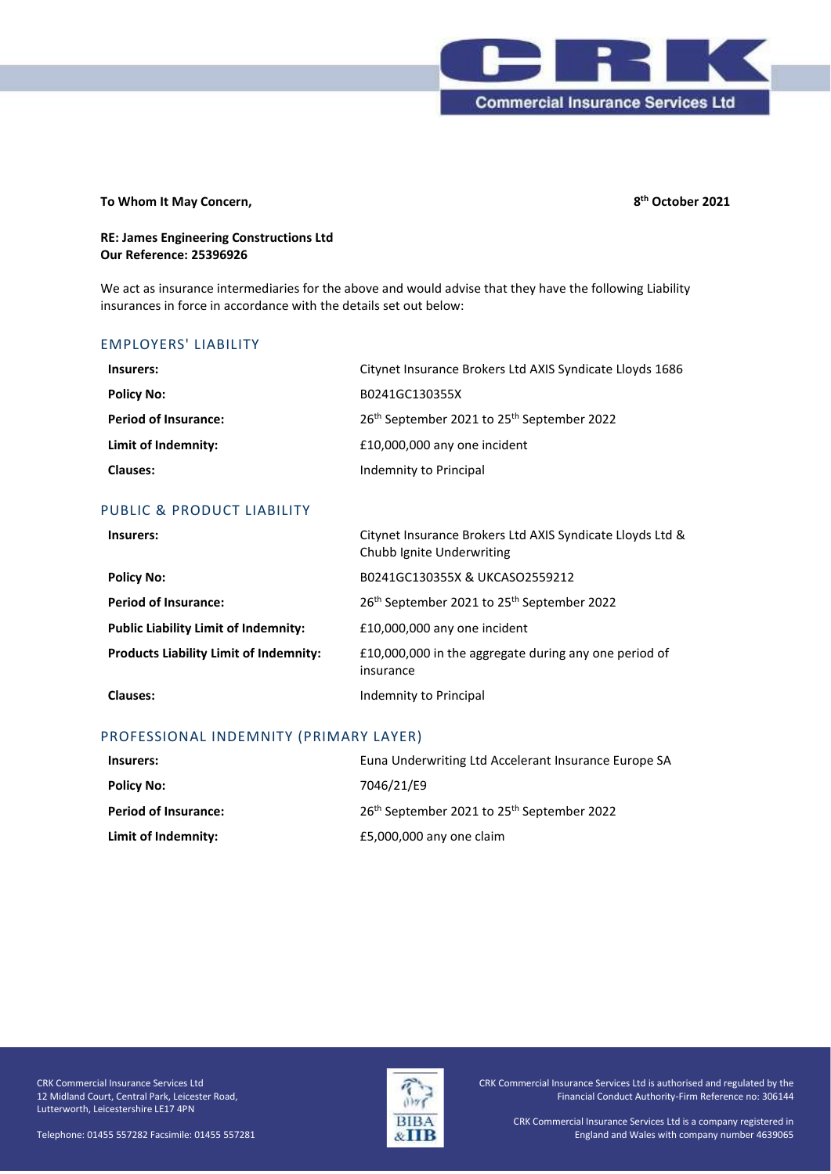

#### **To Whom It May Concern, 8**

**th October 2021**

**RE: James Engineering Constructions Ltd Our Reference: 25396926**

We act as insurance intermediaries for the above and would advise that they have the following Liability insurances in force in accordance with the details set out below:

# EMPLOYERS' LIABILITY

| Insurers:                   | Citynet Insurance Brokers Ltd AXIS Syndicate Lloyds 1686           |
|-----------------------------|--------------------------------------------------------------------|
| <b>Policy No:</b>           | B0241GC130355X                                                     |
| <b>Period of Insurance:</b> | 26 <sup>th</sup> September 2021 to 25 <sup>th</sup> September 2022 |
| Limit of Indemnity:         | £10,000,000 any one incident                                       |
| <b>Clauses:</b>             | Indemnity to Principal                                             |

### PUBLIC & PRODUCT LIABILITY

| Insurers:                                     | Citynet Insurance Brokers Ltd AXIS Syndicate Lloyds Ltd &<br>Chubb Ignite Underwriting |
|-----------------------------------------------|----------------------------------------------------------------------------------------|
| <b>Policy No:</b>                             | B0241GC130355X & UKCASO2559212                                                         |
| <b>Period of Insurance:</b>                   | 26 <sup>th</sup> September 2021 to 25 <sup>th</sup> September 2022                     |
| <b>Public Liability Limit of Indemnity:</b>   | £10,000,000 any one incident                                                           |
| <b>Products Liability Limit of Indemnity:</b> | £10,000,000 in the aggregate during any one period of<br>insurance                     |
| <b>Clauses:</b>                               | Indemnity to Principal                                                                 |

### PROFESSIONAL INDEMNITY (PRIMARY LAYER)

| Insurers:                   | Euna Underwriting Ltd Accelerant Insurance Europe SA               |
|-----------------------------|--------------------------------------------------------------------|
| <b>Policy No:</b>           | 7046/21/E9                                                         |
| <b>Period of Insurance:</b> | 26 <sup>th</sup> September 2021 to 25 <sup>th</sup> September 2022 |
| Limit of Indemnity:         | £5,000,000 any one claim                                           |



CRK Commercial Insurance Services Ltd is authorised and regulated by the Financial Conduct Authority-Firm Reference no: 306144